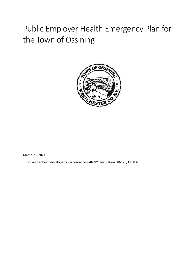# Public Employer Health Emergency Plan for the Town of Ossining



March 23, 2021

This plan has been developed in accordance with NYS legislation S8617B/A10832.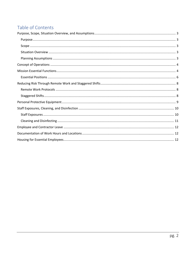# Table of Contents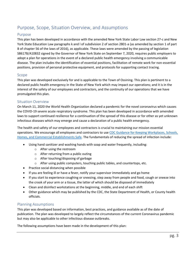## <span id="page-2-0"></span>Purpose, Scope, Situation Overview, and Assumptions

#### <span id="page-2-1"></span>Purpose

This plan has been developed in accordance with the amended New York State Labor Law section 27-c and New York State Education Law paragraphs k and l of subdivision 2 of section 2801-a (as amended by section 1 of part B of chapter 56 of the laws of 2016), as applicable. These laws were amended by the passing of legislation S8617B/A10832 signed by the Governor of New York State on September 7, 2020, requires public employers to adopt a plan for operations in the event of a declared public health emergency involving a communicable disease. The plan includes the identification of essential positions, facilitation of remote work for non-essential positions, provision of personal protective equipment, and protocols for supporting contact tracing.

#### <span id="page-2-2"></span>Scope

This plan was developed exclusively for and is applicable to the Town of Ossining. This plan is pertinent to a declared public health emergency in the State of New York which may impact our operations; and it is in the interest of the safety of our employees and contractors, and the continuity of our operations that we have promulgated this plan.

#### <span id="page-2-3"></span>Situation Overview

On March 11, 2020 the World Health Organization declared a pandemic for the novel coronavirus which causes the COVID-19 severe acute respiratory syndrome. This plan has been developed in accordance with amended laws to support continued resilience for a continuation of the spread of this disease or for other as yet unknown infectious diseases which may emerge and cause a declaration of a public health emergency.

The health and safety of our employees and contractors is crucial to maintaining our mission essential operations. We encourage all employees and contractors to use [CDC Guidance for Keeping Workplaces, Schools,](https://www.cdc.gov/coronavirus/2019-ncov/downloads/workplace-school-and-home-guidance.pdf)  [Homes, and Commercial Establishments Safe.](https://www.cdc.gov/coronavirus/2019-ncov/downloads/workplace-school-and-home-guidance.pdf) The fundamentals of reducing the spread of infection include:

- Using hand sanitizer and washing hands with soap and water frequently, including:
	- o After using the restroom
	- o After returning from a public outing
	- o After touching/disposing of garbage
	- o After using public computers, touching public tables, and countertops, etc.
- Practice social distancing when possible
- If you are feeling ill or have a fever, notify your supervisor immediately and go home
- If you start to experience coughing or sneezing, step away from people and food, cough or sneeze into the crook of your arm or a tissue, the latter of which should be disposed of immediately
- Clean and disinfect workstations at the beginning, middle, and end of each shift
- Other guidance which may be published by the CDC, the State Department of Health, or County health officials.

#### <span id="page-2-4"></span>Planning Assumptions

This plan was developed based on information, best practices, and guidance available as of the date of publication. The plan was developed to largely reflect the circumstances of the current Coronavirus pandemic but may also be applicable to other infectious disease outbreaks.

The following assumptions have been made in the development of this plan: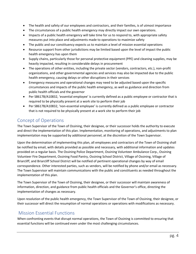- The health and safety of our employees and contractors, and their families, is of utmost importance
- The circumstances of a public health emergency may directly impact our own operations.
- Impacts of a public health emergency will take time for us to respond to, with appropriate safety measures put into place and adjustments made to operations to maximize safety
- The public and our constituency expects us to maintain a level of mission essential operations
- Resource support from other jurisdictions may be limited based upon the level of impact the public health emergency has upon them
- Supply chains, particularly those for personal protective equipment (PPE) and cleaning supplies, may be heavily impacted, resulting in considerable delays in procurement
- The operations of other entities, including the private sector (vendors, contractors, etc.), non-profit organizations, and other governmental agencies and services may also be impacted due to the public health emergency, causing delays or other disruptions in their services
- Emergency measures and operational changes may need to be adjusted based upon the specific circumstances and impacts of the public health emergency, as well as guidance and direction from public health officials and the governor
- Per S8617B/A10832, 'essential employee' is currently defined as a public employee or contractor that is required to be physically present at a work site to perform their job
- Per S8617B/A10832, 'non-essential employee' is currently defined as a public employee or contractor that is not required to be physically present at a work site to perform their job

## <span id="page-3-0"></span>Concept of Operations

The Town Supervisor of the Town of Ossining, their designee, or their successor holds the authority to execute and direct the implementation of this plan. Implementation, monitoring of operations, and adjustments to plan implementation may be supported by additional personnel, at the discretion of the Town Supervisor.

Upon the determination of implementing this plan, all employees and contractors of the Town of Ossining shall be notified by email, with details provided as possible and necessary, with additional information and updates provided on a regular basis. The Ossining Police Department, Ossining Volunteer Ambulance Corp., Ossining Volunteer Fire Department, Ossining Food Pantry, Ossining School District, Village of Ossining, Village of Briarcliff, and Briarcliff School District will be notified of pertinent operational changes by way of email correspondence. Other interested parties, such as vendors, will be notified by phone and/or email as necessary. The Town Supervisor will maintain communications with the public and constituents as needed throughout the implementation of this plan.

The Town Supervisor of the Town of Ossining, their designee, or their successor will maintain awareness of information, direction, and guidance from public health officials and the Governor's office, directing the implementation of changes as necessary.

Upon resolution of the public health emergency, the Town Supervisor of the Town of Ossining, their designee, or their successor will direct the resumption of normal operations or operations with modifications as necessary.

## <span id="page-3-1"></span>Mission Essential Functions

When confronting events that disrupt normal operations, the Town of Ossining is committed to ensuring that essential functions will be continued even under the most challenging circumstances.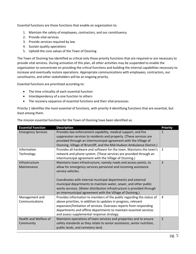Essential functions are those functions that enable an organization to:

- 1. Maintain the safety of employees, contractors, and our constituency
- 2. Provide vital services
- 3. Provide services required by law
- 4. Sustain quality operations
- 5. Uphold the core values of the Town of Ossining

The Town of Ossining has identified as critical only those priority functions that are required or are necessary to provide vital services. During activation of this plan, all other activities may be suspended to enable the organization to concentrate on providing the critical functions and building the internal capabilities necessary to increase and eventually restore operations. Appropriate communications with employees, contractors, our constituents, and other stakeholders will be an ongoing priority.

Essential functions are prioritized according to:

- The time criticality of each essential function
- Interdependency of a one function to others
- The recovery sequence of essential functions and their vital processes

Priority 1 identifies the most essential of functions, with priority 4 identifying functions that are essential, but least among them.

| <b>Essential Function</b> | <b>Description</b>                                                       | <b>Priority</b> |
|---------------------------|--------------------------------------------------------------------------|-----------------|
| <b>Emergency Services</b> | Provides law enforcement capability, medical support, and fire           | 1               |
|                           | suppression services to residents and property. (These services are      |                 |
|                           | provided through an intermunicipal agreement with the Village of         |                 |
|                           | Ossining, Village of Briarcliff, and the Mid-Hudson Ambulance District.) |                 |
| Information               | Provides all hardware and software for the town. Maintains the town's    | $\mathcal{P}$   |
| Technology                | network and phone system. (These services are provided through an        |                 |
|                           | intermunicipal agreement with the Village of Ossining.)                  |                 |
| Infrastructure            | Maintains town infrastructure, namely roads and access points, to        | 3               |
| Maintenance               | allow for emergency services personnel and incoming assistance           |                 |
|                           | service vehicles.                                                        |                 |
|                           |                                                                          |                 |
|                           | Coordinates with internal municipal departments and external             |                 |
|                           | municipal departments to maintain water, sewer, and other public         |                 |
|                           | works services. (Water distribution infrastructure is provided through   |                 |
|                           | an intermunicipal agreement with the Village of Ossining.)               |                 |
| Management and            | Provides information to members of the public regarding the status of    | 4               |
| Communications            | above priorities, in addition to updates in progress, relevant           |                 |
|                           | expansion/limitation of services. Oversees reports from responding       |                 |
|                           | departments and offline departments to maintain essential services       |                 |
|                           | and assess supplemental response strategy.                               |                 |
| Health and Welfare of     | Maintains operations of town services and properties and to ensure       | 5               |
| Community                 | safety standards as they relate to senior assistance, senior nutrition,  |                 |
|                           | public lands, and cemetery land.                                         |                 |

The mission essential functions for the Town of Ossining have been identified as: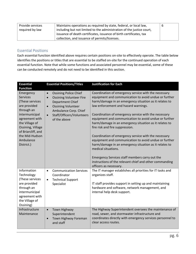| Provide services | Maintains operations as required by state, federal, or local law,     | b |
|------------------|-----------------------------------------------------------------------|---|
| required by law  | including but not limited to the administration of the justice court, |   |
|                  | issuance of death certificates, issuance of birth certificates, tax   |   |
|                  | collection, and issuance of permits/licenses.                         |   |

#### <span id="page-5-0"></span>Essential Positions

Each essential function identified above requires certain positions on-site to effectively operate. The table below identifies the positions or titles that are essential to be staffed on-site for the continued operation of each essential function. Note that while some functions and associated personnel may be essential, some of these can be conducted remotely and do not need to be identified in this section.

| <b>Essential</b><br><b>Function</b>                                                                                                                                                                                         | <b>Essential Positions/Titles</b>                                                                                                                                                                                                         | <b>Justification for Each</b>                                                                                                                                                                                                                                                                                                                                                                                                                                                                                                                                                                                                   |
|-----------------------------------------------------------------------------------------------------------------------------------------------------------------------------------------------------------------------------|-------------------------------------------------------------------------------------------------------------------------------------------------------------------------------------------------------------------------------------------|---------------------------------------------------------------------------------------------------------------------------------------------------------------------------------------------------------------------------------------------------------------------------------------------------------------------------------------------------------------------------------------------------------------------------------------------------------------------------------------------------------------------------------------------------------------------------------------------------------------------------------|
| Emergency<br><b>Services</b><br>(These services<br>are provided<br>through an<br>intermunicipal<br>agreement with<br>the Village of<br>Ossining, Village<br>of Briarcliff, and<br>the Mid-Hudson<br>Ambulance<br>District.) | <b>Ossining Police Chief</b><br>$\bullet$<br><b>Ossining Volunteer Fire</b><br>$\bullet$<br>Department Chief<br><b>Ossining Volunteer</b><br>$\bullet$<br>Ambulance Corp. Chief<br>Staff/Officers/Volunteers<br>$\bullet$<br>of the above | Coordination of emergency service with the necessary<br>equipment and communication to avoid undue or further<br>harm/damage in an emergency situation as it relates to<br>law enforcement and hazard warnings.<br>Coordination of emergency service with the necessary<br>equipment and communication to avoid undue or further<br>harm/damage in an emergency situation as it relates to<br>fire risk and fire suppression.<br>Coordination of emergency service with the necessary<br>equipment and communication to avoid undue or further<br>harm/damage in an emergency situation as it relates to<br>medical situations. |
|                                                                                                                                                                                                                             |                                                                                                                                                                                                                                           | Emergency Services staff members carry out the<br>instructions of the relevant chief and other commanding<br>officers as necessary.                                                                                                                                                                                                                                                                                                                                                                                                                                                                                             |
| Information<br>Technology<br>(These services<br>are provided<br>through an<br>intermunicipal<br>agreement with<br>the Village of<br>Ossining)                                                                               | <b>Communication Services</b><br>$\bullet$<br>Coordinator<br><b>Technical Support</b><br>$\bullet$<br>Specialist                                                                                                                          | The IT manager establishes all priorities for IT tasks and<br>organizes staff.<br>IT staff provides support in setting up and maintaining<br>hardware and software, network management, and<br>internal help desk support.                                                                                                                                                                                                                                                                                                                                                                                                      |
| Infrastructure<br>Maintenance                                                                                                                                                                                               | <b>Town Highway</b><br>$\bullet$<br>Superintendent<br>Town Highway Foreman<br>$\bullet$<br>and staff                                                                                                                                      | The Highway Superintendent oversees the maintenance of<br>road, sewer, and stormwater infrastructure and<br>coordinates directly with emergency services personnel to<br>clear access routes.                                                                                                                                                                                                                                                                                                                                                                                                                                   |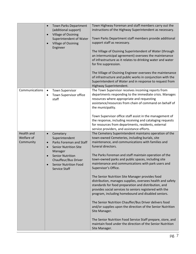|                   | Town Parks Department<br>$\bullet$<br>(additional support)<br>Village of Ossining<br>$\bullet$<br>Superintendent of Water<br>Village of Ossining<br>$\bullet$<br>Engineer | Town Highway Foreman and staff members carry out the<br>instructions of the Highway Superintendent as necessary.<br>Town Parks Department staff members provide additional<br>support staff as necessary.<br>The Village of Ossining Superintendent of Water (through<br>an intermunicipal agreement) oversees the maintenance<br>of infrastructure as it relates to drinking water and water<br>for fire suppression.<br>The Village of Ossining Engineer oversees the maintenance<br>of infrastructure and public works in conjunction with the<br>Superintendent of Water and in response to request from<br>Highway Superintendent. |
|-------------------|---------------------------------------------------------------------------------------------------------------------------------------------------------------------------|-----------------------------------------------------------------------------------------------------------------------------------------------------------------------------------------------------------------------------------------------------------------------------------------------------------------------------------------------------------------------------------------------------------------------------------------------------------------------------------------------------------------------------------------------------------------------------------------------------------------------------------------|
| Communications    | <b>Town Supervisor</b><br>$\bullet$<br>Town Supervisor office<br>$\bullet$<br>staff                                                                                       | The Town Supervisor receives incoming reports from<br>departments responding to the immediate crisis. Manages<br>resources where appropriate and requesting<br>assistance/resources from chain of command on behalf of<br>the municipality.<br>Town Supervisor office staff assist in the management of<br>the response, including receiving and cataloging requests<br>for resources from departments, residents, external<br>service providers, and assistance efforts.                                                                                                                                                               |
| <b>Health and</b> | Cemetery<br>$\bullet$                                                                                                                                                     | The Cemetery Superintendent maintains operation of the                                                                                                                                                                                                                                                                                                                                                                                                                                                                                                                                                                                  |
| Welfare of        | Superintendent                                                                                                                                                            | town-owned Cemeteries, including burials, site                                                                                                                                                                                                                                                                                                                                                                                                                                                                                                                                                                                          |
| Community         | Parks Foreman and Staff<br>$\bullet$<br><b>Senior Nutrition Site</b><br>$\bullet$<br>Manager                                                                              | maintenance, and communications with families and<br>funeral directors.                                                                                                                                                                                                                                                                                                                                                                                                                                                                                                                                                                 |
|                   | <b>Senior Nutrition</b><br>Chauffeur/Bus Driver<br><b>Senior Nutrition Food</b><br>$\bullet$<br><b>Service Staff</b>                                                      | The Parks Foreman and staff maintain operation of the<br>town-owned parks and public spaces, including site<br>maintenance and communications with park users and<br>Supervisor's Office.                                                                                                                                                                                                                                                                                                                                                                                                                                               |
|                   |                                                                                                                                                                           | The Senior Nutrition Site Manager provides food<br>distribution, manages supplies, oversees health and safety<br>standards for food preparation and distribution, and<br>provides social services to seniors registered with the<br>program, including homebound and disabled seniors.                                                                                                                                                                                                                                                                                                                                                  |
|                   |                                                                                                                                                                           | The Senior Nutrition Chauffer/Bus Driver delivers food<br>and/or supplies upon the direction of the Senior Nutrition<br>Site Manager.                                                                                                                                                                                                                                                                                                                                                                                                                                                                                                   |
|                   |                                                                                                                                                                           | The Senior Nutrition Food Service Staff prepare, store, and<br>maintain food under the direction of the Senior Nutrition<br>Site Manager.                                                                                                                                                                                                                                                                                                                                                                                                                                                                                               |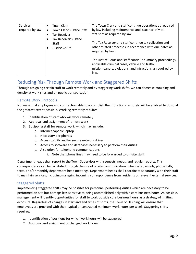| <b>Services</b><br>required by law | <b>Town Clerk</b><br>$\bullet$<br>Town Clerk's Office Staff<br>Tax Receiver | The Town Clerk and staff continue operations as required<br>by law including maintenance and issuance of vital<br>statistics as required by law.                                |
|------------------------------------|-----------------------------------------------------------------------------|---------------------------------------------------------------------------------------------------------------------------------------------------------------------------------|
|                                    | Tax Receiver's Office<br><b>Staff</b><br>Justice Court<br>$\bullet$         | The Tax Receiver and staff continue tax collection and<br>other related processes in accordance with due dates as<br>required by law.                                           |
|                                    |                                                                             | The Justice Court and staff continue summary proceedings,<br>applicable criminal cases, vehicle and traffic<br>misdemeanors, violations, and infractions as required by<br>law. |

## <span id="page-7-0"></span>Reducing Risk Through Remote Work and Staggered Shifts

Through assigning certain staff to work remotely and by staggering work shifts, we can decrease crowding and density at work sites and on public transportation

## <span id="page-7-1"></span>Remote Work Protocols

Non-essential employees and contractors able to accomplish their functions remotely will be enabled to do so at the greatest extent possible. Working remotely requires:

- 1. Identification of staff who will work remotely
- 2. Approval and assignment of remote work
- 3. Equipping staff for remote work, which may include:
	- a. Internet capable laptop
	- b. Necessary peripherals
	- c. Access to VPN and/or secure network drives
	- d. Access to software and databases necessary to perform their duties
	- e. A solution for telephone communications
		- i. Note that phone lines may need to be forwarded to off-site staff

Department heads shall report to the Town Supervisor with requests, needs, and regular reports. This correspondence can be facilitated through the use of onsite communication (when safe), emails, phone calls, texts, and/or monthly department head meetings. Department heads shall coordinate separately with their staff to maintain services, including managing incoming correspondence from residents or relevant external services.

### <span id="page-7-2"></span>Staggered Shifts

Implementing staggered shifts may be possible for personnel performing duties which are necessary to be performed on-site but perhaps less sensitive to being accomplished only within core business hours. As possible, management will identify opportunities for staff to work outside core business hours as a strategy of limiting exposure. Regardless of changes in start and end times of shifts, the Town of Ossining will ensure that employees are provided with their typical or contracted minimum work hours per week. Staggering shifts requires:

- 1. Identification of positions for which work hours will be staggered
- 2. Approval and assignment of changed work hours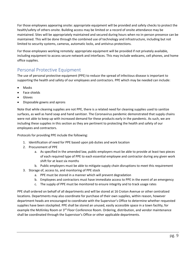For those employees appearing onsite: appropriate equipment will be provided and safety checks to protect the health/safety of others onsite. Building access may be limited or a record of onsite attendance may be maintained. Sites will be appropriately maintained and secured during hours when no in-person presence can be maintained. This will be done through the combined use of technology and infrastructure, including but not limited to security systems, cameras, automatic locks, and antivirus protections.

For those employees working remotely: appropriate equipment will be provided if not privately available, including equipment to access secure network and interfaces. This may include webcams, cell phones, and home office supplies.

## <span id="page-8-0"></span>Personal Protective Equipment

The use of personal protective equipment (PPE) to reduce the spread of infectious disease is important to supporting the health and safety of our employees and contractors. PPE which may be needed can include:

- Masks
- Face shields
- Gloves
- Disposable gowns and aprons

Note that while cleaning supplies are not PPE, there is a related need for cleaning supplies used to sanitize surfaces, as well as hand soap and hand sanitizer. The Coronavirus pandemic demonstrated that supply chains were not able to keep up with increased demand for these products early in the pandemic. As such, we are including these supplies in this section as they are pertinent to protecting the health and safety of our employees and contractors.

Protocols for providing PPE include the following:

- 1. Identification of need for PPE based upon job duties and work location
- 2. Procurement of PPE
	- a. As specified in the amended law, public employers must be able to provide at least two pieces of each required type of PPE to each essential employee and contractor during any given work shift for at least six months
	- b. Public employers must be able to mitigate supply chain disruptions to meet this requirement
- 3. Storage of, access to, and monitoring of PPE stock
	- a. PPE must be stored in a manner which will prevent degradation
	- b. Employees and contractors must have immediate access to PPE in the event of an emergency
	- c. The supply of PPE must be monitored to ensure integrity and to track usage rates

PPE shall ordered on behalf of all departments and will be stored at 16 Croton Avenue or other centralized locations. Departments may also coordinate for purchase of their own supplies, within reason, however department heads are encouraged to coordinate with the Supervisor's Office to determine whether requested supplies have been stockpiled. PPE shall be stored an unused, easily accessible space in a town facility, for example the McKinley Room or 3<sup>rd</sup> Floor Conference Room. Ordering, distribution, and vendor maintenance shall be coordinated through the Supervisor's Office or other applicable departments.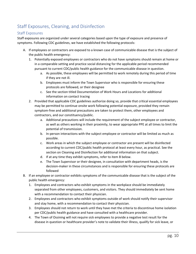# <span id="page-9-0"></span>Staff Exposures, Cleaning, and Disinfection

### <span id="page-9-1"></span>Staff Exposures

Staff exposures are organized under several categories based upon the type of exposure and presence of symptoms. Following CDC guidelines, we have established the following protocols:

- A. If employees or contractors are exposed to a known case of communicable disease that is the subject of the public health emergency:
	- 1. Potentially exposed employees or contractors who do not have symptoms should remain at home or in a comparable setting and practice social distancing for the applicable period recommended pursuant to current CDC/public health guidance for the communicable disease in question.
		- a. As possible, these employees will be permitted to work remotely during this period of time if they are not ill.
		- b. Employees must inform the Town Supervisor who is responsible for ensuring these protocols are followed, or their designee
		- c. See the section titled Documentation of Work Hours and Locations for additional information on contact tracing
	- 2. Provided that applicable CDC guidelines authorize doing so, provide that critical essential employees may be permitted to continue onsite work following potential exposure, provided they remain symptom-free and additional precautions are taken to protect them, other employees and contractors, and our constituency/public.
		- a. Additional precautions will include the requirement of the subject employee or contractor, as well as others working in their proximity, to wear appropriate PPE at all times to limit the potential of transmission.
		- b. In-person interactions with the subject employee or contractor will be limited as much as possible.
		- c. Work areas in which the subject employee or contractor are present will be disinfected according to current CDC/public health protocol at least every hour, as practical. See the section on Cleaning and Disinfection for additional information on that subject.
		- d. If at any time they exhibit symptoms, refer to item B below.
		- e. The Town Supervisor or their designee, in consultation with department heads, is the decision-maker in these circumstances and is responsible for ensuring these protocols are followed
- B. If an employee or contractor exhibits symptoms of the communicable disease that is the subject of the public health emergency:
	- 1. Employees and contractors who exhibit symptoms in the workplace should be immediately separated from other employees, customers, and visitors. They should immediately be sent home with a recommendation to contact their physician.
	- 2. Employees and contractors who exhibit symptoms outside of work should notify their supervisor and stay home, with a recommendation to contact their physician.
	- 3. Employees should not return to work until they have met the criteria to discontinue home isolation per CDC/public health guidance and have consulted with a healthcare provider.
	- 4. The Town of Ossining will not require sick employees to provide a negative test result for the disease in question or healthcare provider's note to validate their illness, qualify for sick leave, or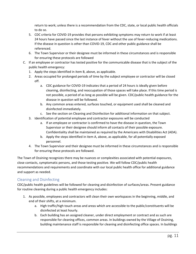return to work; unless there is a recommendation from the CDC, state, or local public health officials to do so.

- 5. CDC criteria for COVID-19 provides that persons exhibiting symptoms may return to work if at least 24 hours have passed since the last instance of fever without the use of fever-reducing medications. If the disease in question is other than COVID-19, CDC and other public guidance shall be referenced.
- 6. The Town Supervisor or their designee must be informed in these circumstances and is responsible for ensuring these protocols are followed
- C. If an employee or contractor has tested positive for the communicable disease that is the subject of the public health emergency:
	- 1. Apply the steps identified in item B, above, as applicable.
	- 2. Areas occupied for prolonged periods of time by the subject employee or contractor will be closed off.
		- a. CDC guidance for COVID-19 indicates that a period of 24 hours is ideally given before cleaning, disinfecting, and reoccupation of those spaces will take place. If this time period is not possible, a period of as long as possible will be given. CDC/public health guidance for the disease in question will be followed.
		- b. Any common areas entered, surfaces touched, or equipment used shall be cleaned and disinfected immediately.
		- c. See the section on Cleaning and Disinfection for additional information on that subject.
	- 3. Identification of potential employee and contractor exposures will be conducted
		- a. If an employee or contractor is confirmed to have the disease in question, the Town Supervisor or their designee should inform all contacts of their possible exposure. Confidentiality shall be maintained as required by the Americans with Disabilities Act (ADA).
		- b. Apply the steps identified in item A, above, as applicable, for all potentially exposed personnel.
	- 4. The Town Supervisor and their designee must be informed in these circumstances and is responsible for ensuring these protocols are followed.

The Town of Ossining recognizes there may be nuances or complexities associated with potential exposures, close contacts, symptomatic persons, and those testing positive. We will follow CDC/public health recommendations and requirements and coordinate with our local public health office for additional guidance and support as needed.

### <span id="page-10-0"></span>Cleaning and Disinfecting

CDC/public health guidelines will be followed for cleaning and disinfection of surfaces/areas. Present guidance for routine cleaning during a public health emergency includes:

- 1. As possible, employees and contractors will clean their own workspaces in the beginning, middle, and end of their shifts, at a minimum.
	- a. High traffic/high touch areas and areas which are accessible to the public/constituents will be disinfected at least hourly.
	- b. Each building has an assigned cleaner, under direct employment or contract and as such are responsible for cleaning offices, common areas. In buildings owned by the Village of Ossining, building maintenance staff is responsible for cleaning and disinfecting office spaces. In buildings